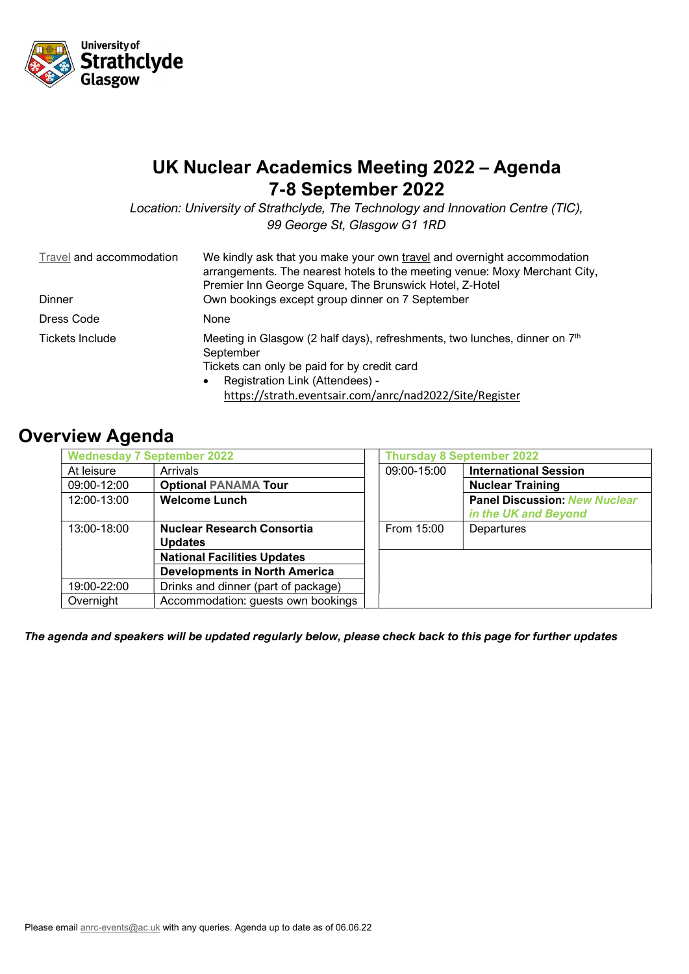

## UK Nuclear Academics Meeting 2022 – Agenda 7-8 September 2022

Location: University of Strathclyde, The Technology and Innovation Centre (TIC), 99 George St, Glasgow G1 1RD

| Travel and accommodation<br>Dinner | We kindly ask that you make your own travel and overnight accommodation<br>arrangements. The nearest hotels to the meeting venue: Moxy Merchant City,<br>Premier Inn George Square, The Brunswick Hotel, Z-Hotel<br>Own bookings except group dinner on 7 September |  |  |
|------------------------------------|---------------------------------------------------------------------------------------------------------------------------------------------------------------------------------------------------------------------------------------------------------------------|--|--|
| Dress Code                         | None                                                                                                                                                                                                                                                                |  |  |
| Tickets Include                    | Meeting in Glasgow (2 half days), refreshments, two lunches, dinner on 7 <sup>th</sup><br>September<br>Tickets can only be paid for by credit card<br>Registration Link (Attendees) -<br>$\bullet$<br>https://strath.eventsair.com/anrc/nad2022/Site/Register       |  |  |

## Overview Agenda

| <b>Wednesday 7 September 2022</b>          |                                      | <b>Thursday 8 September 2022</b> |                                      |
|--------------------------------------------|--------------------------------------|----------------------------------|--------------------------------------|
| At leisure                                 | Arrivals                             | 09:00-15:00                      | <b>International Session</b>         |
| <b>Optional PANAMA Tour</b><br>09:00-12:00 |                                      |                                  | <b>Nuclear Training</b>              |
| 12:00-13:00                                | <b>Welcome Lunch</b>                 |                                  | <b>Panel Discussion: New Nuclear</b> |
|                                            |                                      |                                  | in the UK and Beyond                 |
| 13:00-18:00                                | <b>Nuclear Research Consortia</b>    | From 15:00                       | Departures                           |
|                                            | <b>Updates</b>                       |                                  |                                      |
|                                            | <b>National Facilities Updates</b>   |                                  |                                      |
|                                            | <b>Developments in North America</b> |                                  |                                      |
| 19:00-22:00                                | Drinks and dinner (part of package)  |                                  |                                      |
| Overnight                                  | Accommodation: guests own bookings   |                                  |                                      |

The agenda and speakers will be updated regularly below, please check back to this page for further updates